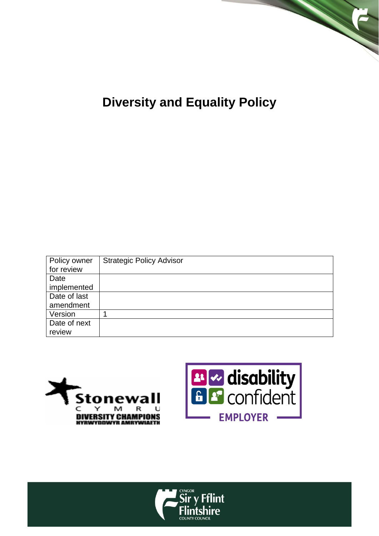

# **Diversity and Equality Policy**

| Policy owner | <b>Strategic Policy Advisor</b> |
|--------------|---------------------------------|
| for review   |                                 |
| Date         |                                 |
| implemented  |                                 |
| Date of last |                                 |
| amendment    |                                 |
| Version      |                                 |
| Date of next |                                 |
| review       |                                 |





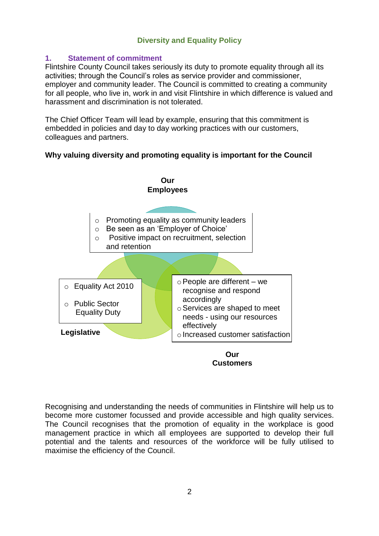# **Diversity and Equality Policy**

# **1. Statement of commitment**

 Flintshire County Council takes seriously its duty to promote equality through all its employer and community leader. The Council is committed to creating a community for all people, who live in, work in and visit Flintshire in which difference is valued and activities; through the Council's roles as service provider and commissioner, harassment and discrimination is not tolerated.

The Chief Officer Team will lead by example, ensuring that this commitment is embedded in policies and day to day working practices with our customers, colleagues and partners.



# **Customers**

 Recognising and understanding the needs of communities in Flintshire will help us to become more customer focussed and provide accessible and high quality services. The Council recognises that the promotion of equality in the workplace is good management practice in which all employees are supported to develop their full potential and the talents and resources of the workforce will be fully utilised to maximise the efficiency of the Council.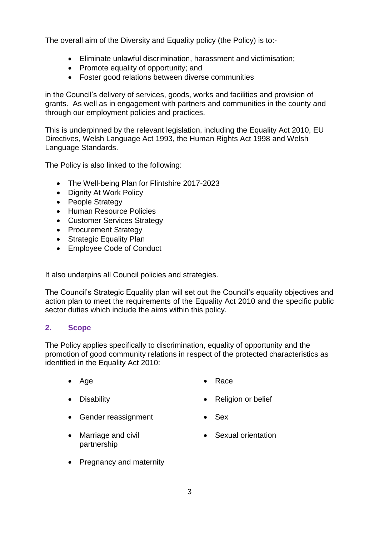The overall aim of the Diversity and Equality policy (the Policy) is to:-

- Eliminate unlawful discrimination, harassment and victimisation;
- Promote equality of opportunity; and
- Foster good relations between diverse communities

 grants. As well as in engagement with partners and communities in the county and The overall aim of the Diversity and Equality policy (the Policy) is to:<br>
• Eliminate unlawful discrimination, harassment and victimis<br>
• Fromote equality of opportunity; and<br>
• Foster good relations between diverse commun in the Council's delivery of services, goods, works and facilities and provision of through our employment policies and practices.

 Directives, Welsh Language Act 1993, the Human Rights Act 1998 and Welsh This is underpinned by the relevant legislation, including the Equality Act 2010, EU Language Standards.

The Policy is also linked to the following:

- The Well-being Plan for Flintshire 2017-2023
- Dignity At Work Policy
- People Strategy
- Human Resource Policies
- Customer Services Strategy
- Procurement Strategy
- Strategic Equality Plan
- Employee Code of Conduct

It also underpins all Council policies and strategies.

 The Council's Strategic Equality plan will set out the Council's equality objectives and action plan to meet the requirements of the Equality Act 2010 and the specific public sector duties which include the aims within this policy.

#### **2. Scope**

 The Policy applies specifically to discrimination, equality of opportunity and the promotion of good community relations in respect of the protected characteristics as identified in the Equality Act 2010:

- 
- 
- Age Race
- Disability **Contract Contract Contract Contract Contract Contract Contract Contract Contract Contract Contract Contract Contract Contract Contract Contract Contract Contract Contract Contract Contract Contract Contract C**
- Gender reassignment Sex
	-
- Marriage and civil **Constanting Constantion** partnership
	-
- Pregnancy and maternity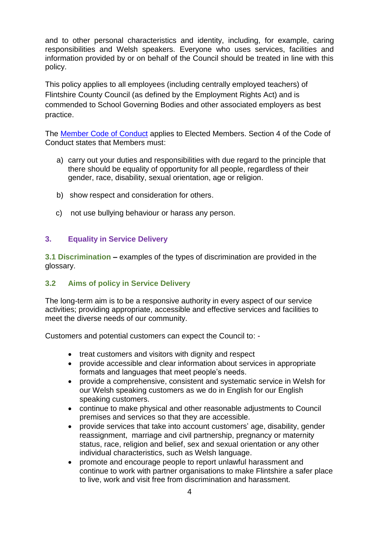and to other personal characteristics and identity, including, for example, caring responsibilities and Welsh speakers. Everyone who uses services, facilities and information provided by or on behalf of the Council should be treated in line with this policy.

This policy applies to all employees (including centrally employed teachers) of Flintshire County Council (as defined by the Employment Rights Act) and is commended to School Governing Bodies and other associated employers as best practice.

The **Member Code of Conduct** applies to Elected Members. Section 4 of the Code of Conduct states that Members must:

- there should be equality of opportunity for all people, regardless of their a) carry out your duties and responsibilities with due regard to the principle that gender, race, disability, sexual orientation, age or religion.
- b) show respect and consideration for others.
- c) not use bullying behaviour or harass any person.

# **3. Equality in Service Delivery**

 **3.1 Discrimination –** examples of the types of discrimination are provided in the glossary.

# **3.2 Aims of policy in Service Delivery**

 activities; providing appropriate, accessible and effective services and facilities to The long-term aim is to be a responsive authority in every aspect of our service meet the diverse needs of our community.

Customers and potential customers can expect the Council to: -

- treat customers and visitors with dignity and respect
- provide accessible and clear information about services in appropriate formats and languages that meet people's needs.
- provide a comprehensive, consistent and systematic service in Welsh for our Welsh speaking customers as we do in English for our English speaking customers.
- continue to make physical and other reasonable adjustments to Council premises and services so that they are accessible.
- provide services that take into account customers' age, disability, gender reassignment, marriage and civil partnership, pregnancy or maternity status, race, religion and belief, sex and sexual orientation or any other individual characteristics, such as Welsh language.
- to live, work and visit free from discrimination and harassment. promote and encourage people to report unlawful harassment and continue to work with partner organisations to make Flintshire a safer place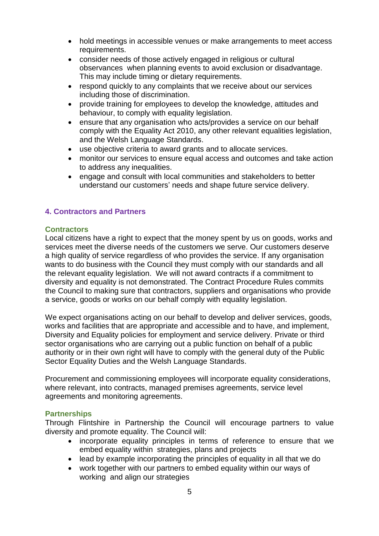- hold meetings in accessible venues or make arrangements to meet access requirements.
- consider needs of those actively engaged in religious or cultural observances when planning events to avoid exclusion or disadvantage. This may include timing or dietary requirements.
- respond quickly to any complaints that we receive about our services including those of discrimination.
- provide training for employees to develop the knowledge, attitudes and behaviour, to comply with equality legislation.
- and the Welsh Language Standards. ensure that any organisation who acts/provides a service on our behalf comply with the Equality Act 2010, any other relevant equalities legislation,
- use objective criteria to award grants and to allocate services.
- monitor our services to ensure equal access and outcomes and take action to address any inequalities.
- engage and consult with local communities and stakeholders to better understand our customers' needs and shape future service delivery.

# **4. Contractors and Partners**

#### **Contractors**

 wants to do business with the Council they must comply with our standards and all the Council to making sure that contractors, suppliers and organisations who provide Local citizens have a right to expect that the money spent by us on goods, works and services meet the diverse needs of the customers we serve. Our customers deserve a high quality of service regardless of who provides the service. If any organisation the relevant equality legislation. We will not award contracts if a commitment to diversity and equality is not demonstrated. The Contract Procedure Rules commits a service, goods or works on our behalf comply with equality legislation.

 sector organisations who are carrying out a public function on behalf of a public Sector Equality Duties and the Welsh Language Standards. We expect organisations acting on our behalf to develop and deliver services, goods, works and facilities that are appropriate and accessible and to have, and implement, Diversity and Equality policies for employment and service delivery. Private or third authority or in their own right will have to comply with the general duty of the Public

 Procurement and commissioning employees will incorporate equality considerations, where relevant, into contracts, managed premises agreements, service level agreements and monitoring agreements.

#### **Partnerships**

 Through Flintshire in Partnership the Council will encourage partners to value diversity and promote equality. The Council will:

- incorporate equality principles in terms of reference to ensure that we embed equality within strategies, plans and projects
- $\bullet$ lead by example incorporating the principles of equality in all that we do
- working and align our strategies work together with our partners to embed equality within our ways of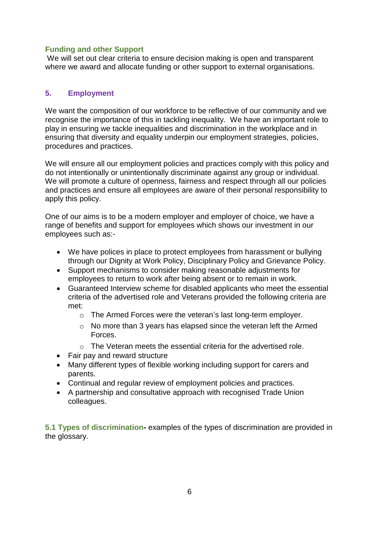# **Funding and other Support**

 where we award and allocate funding or other support to external organisations. We will set out clear criteria to ensure decision making is open and transparent

# **5. Employment**

 recognise the importance of this in tackling inequality. We have an important role to play in ensuring we tackle inequalities and discrimination in the workplace and in ensuring that diversity and equality underpin our employment strategies, policies, procedures and practices. We want the composition of our workforce to be reflective of our community and we

We will ensure all our employment policies and practices comply with this policy and do not intentionally or unintentionally discriminate against any group or individual. We will promote a culture of openness, fairness and respect through all our policies and practices and ensure all employees are aware of their personal responsibility to apply this policy.

One of our aims is to be a modern employer and employer of choice, we have a range of benefits and support for employees which shows our investment in our employees such as:-

- We have polices in place to protect employees from harassment or bullying through our Dignity at Work Policy, Disciplinary Policy and Grievance Policy.
- Support mechanisms to consider making reasonable adjustments for employees to return to work after being absent or to remain in work.
- Guaranteed Interview scheme for disabled applicants who meet the essential criteria of the advertised role and Veterans provided the following criteria are met:
	- o The Armed Forces were the veteran's last long-term employer.
	- Forces. o No more than 3 years has elapsed since the veteran left the Armed
	- $\circ$  The Veteran meets the essential criteria for the advertised role.
- Fair pay and reward structure
- Many different types of flexible working including support for carers and parents.
- Continual and regular review of employment policies and practices.
- A partnership and consultative approach with recognised Trade Union colleagues.

 **5.1 Types of discrimination-** examples of the types of discrimination are provided in the glossary.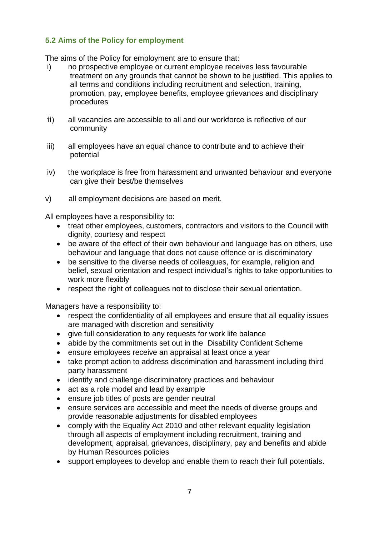# **5.2 Aims of the Policy for employment**

The aims of the Policy for employment are to ensure that:

- i) no prospective employee or current employee receives less favourable treatment on any grounds that cannot be shown to be justified. This applies to all terms and conditions including recruitment and selection, training, promotion, pay, employee benefits, employee grievances and disciplinary procedures
- ii) all vacancies are accessible to all and our workforce is reflective of our community
- iii) all employees have an equal chance to contribute and to achieve their potential
- iv) the workplace is free from harassment and unwanted behaviour and everyone can give their best/be themselves
- $V)$ all employment decisions are based on merit.

All employees have a responsibility to:

- treat other employees, customers, contractors and visitors to the Council with dignity, courtesy and respect
- behaviour and language that does not cause offence or is discriminatory • be aware of the effect of their own behaviour and language has on others, use
- belief, sexual orientation and respect individual's rights to take opportunities to work more flexibly be sensitive to the diverse needs of colleagues, for example, religion and
- respect the right of colleagues not to disclose their sexual orientation.

Managers have a responsibility to:

- respect the confidentiality of all employees and ensure that all equality issues are managed with discretion and sensitivity
- give full consideration to any requests for work life balance
- abide by the commitments set out in the Disability Confident Scheme
- ensure employees receive an appraisal at least once a year
- take prompt action to address discrimination and harassment including third party harassment
- identify and challenge discriminatory practices and behaviour
- act as a role model and lead by example
- ensure job titles of posts are gender neutral
- ensure services are accessible and meet the needs of diverse groups and provide reasonable adjustments for disabled employees
- development, appraisal, grievances, disciplinary, pay and benefits and abide by Human Resources policies • comply with the Equality Act 2010 and other relevant equality legislation through all aspects of employment including recruitment, training and
- support employees to develop and enable them to reach their full potentials.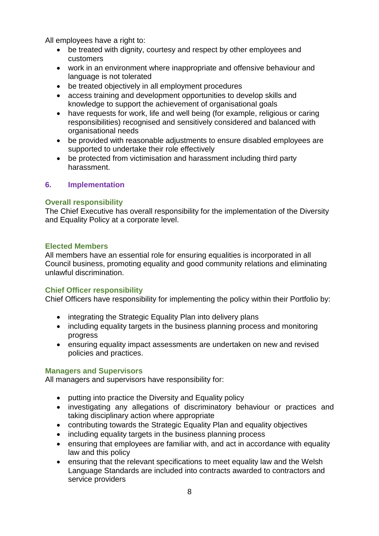All employees have a right to:

- be treated with dignity, courtesy and respect by other employees and customers
- work in an environment where inappropriate and offensive behaviour and language is not tolerated
- be treated objectively in all employment procedures
- access training and development opportunities to develop skills and knowledge to support the achievement of organisational goals
- organisational needs • have requests for work, life and well being (for example, religious or caring responsibilities) recognised and sensitively considered and balanced with
- supported to undertake their role effectively be provided with reasonable adjustments to ensure disabled employees are
- be protected from victimisation and harassment including third party harassment.

# **6. Implementation**

# **Overall responsibility**

The Chief Executive has overall responsibility for the implementation of the Diversity and Equality Policy at a corporate level.

# **Elected Members**

 All members have an essential role for ensuring equalities is incorporated in all Council business, promoting equality and good community relations and eliminating unlawful discrimination.

# **Chief Officer responsibility**

Chief Officers have responsibility for implementing the policy within their Portfolio by:

- integrating the Strategic Equality Plan into delivery plans
- including equality targets in the business planning process and monitoring progress
- policies and practices. ensuring equality impact assessments are undertaken on new and revised

# **Managers and Supervisors**

All managers and supervisors have responsibility for:

- putting into practice the Diversity and Equality policy
- taking disciplinary action where appropriate investigating any allegations of discriminatory behaviour or practices and
- contributing towards the Strategic Equality Plan and equality objectives
- including equality targets in the business planning process
- ensuring that employees are familiar with, and act in accordance with equality law and this policy
- ensuring that the relevant specifications to meet equality law and the Welsh Language Standards are included into contracts awarded to contractors and service providers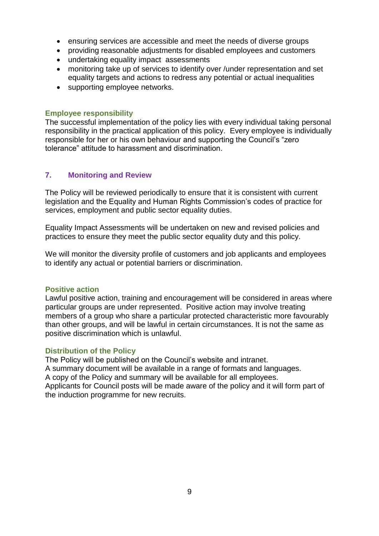- ensuring services are accessible and meet the needs of diverse groups
- providing reasonable adjustments for disabled employees and customers
- undertaking equality impact assessments
- monitoring take up of services to identify over /under representation and set equality targets and actions to redress any potential or actual inequalities
- supporting employee networks.

### **Employee responsibility**

 The successful implementation of the policy lies with every individual taking personal tolerance" attitude to harassment and discrimination. responsibility in the practical application of this policy. Every employee is individually responsible for her or his own behaviour and supporting the Council's "zero

# **7. Monitoring and Review**

The Policy will be reviewed periodically to ensure that it is consistent with current legislation and the Equality and Human Rights Commission's codes of practice for services, employment and public sector equality duties.

 Equality Impact Assessments will be undertaken on new and revised policies and practices to ensure they meet the public sector equality duty and this policy.

 We will monitor the diversity profile of customers and job applicants and employees to identify any actual or potential barriers or discrimination.

#### **Positive action**

 particular groups are under represented. Positive action may involve treating ensuring services are accessible and meet the needs of diverse groups<br>
ensuring services are accessible and meet the needs of diverse groups<br>
envoltining take up of services to identify over /under representation and<br>
equa Lawful positive action, training and encouragement will be considered in areas where members of a group who share a particular protected characteristic more favourably than other groups, and will be lawful in certain circumstances. It is not the same as positive discrimination which is unlawful.

#### **Distribution of the Policy**

 The Policy will be published on the Council's website and intranet. A copy of the Policy and summary will be available for all employees. A summary document will be available in a range of formats and languages. Applicants for Council posts will be made aware of the policy and it will form part of the induction programme for new recruits.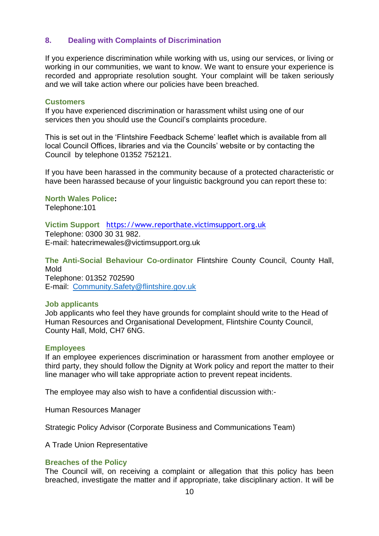If you experience discrimination while working with us, using our services, or living or working in our communities, we want to know. We want to ensure your experience is recorded and appropriate resolution sought. Your complaint will be taken seriously and we will take action where our policies have been breached. **8.** Dealing with Complaints of Discrimination<br>If you experience discrimination while working with us, using our services, or livir<br>working in our communities, we want to know. We want to ensure your experien-<br>recorded and

#### **Customers**

 services then you should use the Council's complaints procedure. If you have experienced discrimination or harassment whilst using one of our

 This is set out in the 'Flintshire Feedback Scheme' leaflet which is available from all Council by telephone 01352 752121. local Council Offices, libraries and via the Councils' website or by contacting the

 If you have been harassed in the community because of a protected characteristic or have been harassed because of your linguistic background you can report these to:

### **North Wales Police:**

Telephone:101

# **Victim Support** [https://www.reporthate.victimsupport.org.uk](https://www.reporthate.victimsupport.org.uk/)

 Telephone: 0300 30 31 982. E-mail: hatecrimewales@victimsupport.org.uk

 **The Anti-Social Behaviour Co-ordinator** Flintshire County Council, County Hall, E-mail: Community.Safety@flintshire.gov.uk Mold Telephone: 01352 702590

#### **Job applicants**

 Job applicants who feel they have grounds for complaint should write to the Head of Human Resources and Organisational Development, Flintshire County Council, County Hall, Mold, CH7 6NG.

#### **Employees**

 If an employee experiences discrimination or harassment from another employee or third party, they should follow the Dignity at Work policy and report the matter to their line manager who will take appropriate action to prevent repeat incidents.

The employee may also wish to have a confidential discussion with:-

Human Resources Manager

Strategic Policy Advisor (Corporate Business and Communications Team)

A Trade Union Representative

#### **Breaches of the Policy**

 The Council will, on receiving a complaint or allegation that this policy has been breached, investigate the matter and if appropriate, take disciplinary action. It will be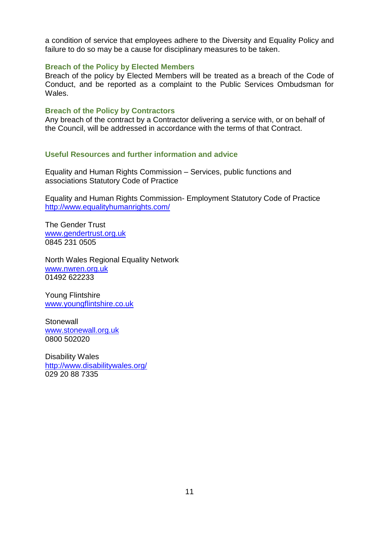a condition of service that employees adhere to the Diversity and Equality Policy and failure to do so may be a cause for disciplinary measures to be taken.

## **Breach of the Policy by Elected Members**

 Breach of the policy by Elected Members will be treated as a breach of the Code of Conduct, and be reported as a complaint to the Public Services Ombudsman for Wales.

### **Breach of the Policy by Contractors**

 Any breach of the contract by a Contractor delivering a service with, or on behalf of the Council, will be addressed in accordance with the terms of that Contract.

### **Useful Resources and further information and advice**

 Equality and Human Rights Commission – Services, public functions and associations Statutory Code of Practice

Equality and Human Rights Commission- Employment Statutory Code of Practice <http://www.equalityhumanrights.com/>

www.gendertrust.org.uk 0845 231 0505 The Gender Trust

<u>www.nwren.org.uk</u><br>01492 622233<br>Young Flintshire 01492 622233 North Wales Regional Equality Network

<u>www.youngflintshire.co.uk</u><br>Stonewall<br><u>www.stonewall.org.uk</u> Stonewall 0800 502020

0800 502020<br>Disability Wales 029 20 88 7335 <http://www.disabilitywales.org/>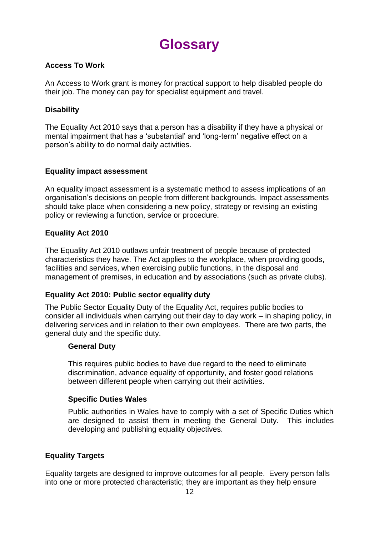

# **Access To Work**

 An Access to Work grant is money for practical support to help disabled people do their job. The money can pay for specialist equipment and travel.

# **Disability**

The Equality Act 2010 says that a person has a disability if they have a physical or mental impairment that has a 'substantial' and 'long-term' negative effect on a person's ability to do normal daily activities.

# **Equality impact assessment**

An equality impact assessment is a systematic method to assess implications of an organisation's decisions on people from different backgrounds. Impact assessments should take place when considering a new policy, strategy or revising an existing policy or reviewing a function, service or procedure.

# **Equality Act 2010**

 The Equality Act 2010 outlaws unfair treatment of people because of protected characteristics they have. The Act applies to the workplace, when providing goods, facilities and services, when exercising public functions, in the disposal and management of premises, in education and by associations (such as private clubs).

# **Equality Act 2010: Public sector equality duty**

 The Public Sector Equality Duty of the Equality Act, requires public bodies to delivering services and in relation to their own employees. There are two parts, the consider all individuals when carrying out their day to day work – in shaping policy, in general duty and the specific duty.

# **General Duty**

 This requires public bodies to have due regard to the need to eliminate discrimination, advance equality of opportunity, and foster good relations between different people when carrying out their activities.

# **Specific Duties Wales**

 Public authorities in Wales have to comply with a set of Specific Duties which are designed to assist them in meeting the General Duty. This includes developing and publishing equality objectives.

# **Equality Targets**

Equality targets are designed to improve outcomes for all people. Every person falls into one or more protected characteristic; they are important as they help ensure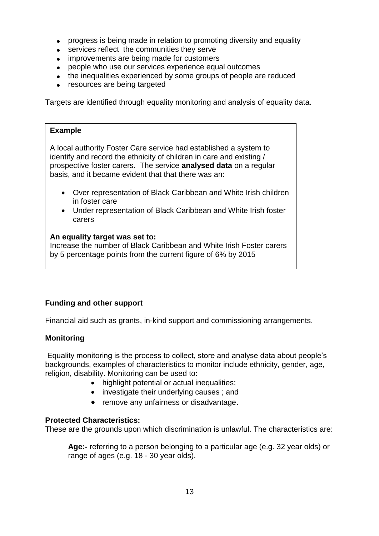- progress is being made in relation to promoting diversity and equality
- services reflect the communities they serve
- improvements are being made for customers
- people who use our services experience equal outcomes
- the inequalities experienced by some groups of people are reduced
- resources are being targeted

Targets are identified through equality monitoring and analysis of equality data.

# **Example**

A local authority Foster Care service had established a system to identify and record the ethnicity of children in care and existing / prospective foster carers. The service **analysed data** on a regular basis, and it became evident that that there was an:

- Over representation of Black Caribbean and White Irish children in foster care
- Under representation of Black Caribbean and White Irish foster carers

### **An equality target was set to:**

Increase the number of Black Caribbean and White Irish Foster carers by 5 percentage points from the current figure of 6% by 2015

# **Funding and other support**

Financial aid such as grants, in-kind support and commissioning arrangements.

# **Monitoring**

 Equality monitoring is the process to collect, store and analyse data about people's backgrounds, examples of characteristics to monitor include ethnicity, gender, age, religion, disability. Monitoring can be used to:

- highlight potential or actual inequalities;
- investigate their underlying causes; and
- remove any unfairness or disadvantage.

# **Protected Characteristics:**

These are the grounds upon which discrimination is unlawful. The characteristics are:

 range of ages (e.g. 18 - 30 year olds). **Age:-** referring to a person belonging to a particular age (e.g. 32 year olds) or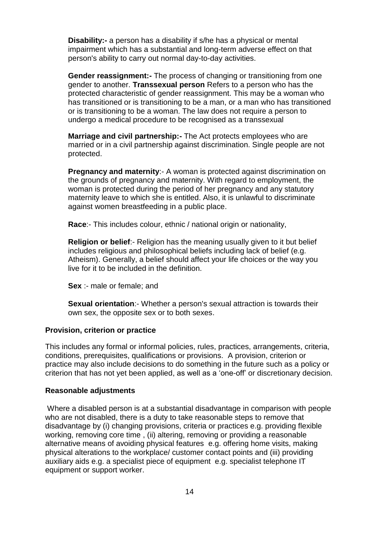**Disability:-** a person has a disability if s/he has a physical or mental impairment which has a substantial and long-term adverse effect on that person's ability to carry out normal day-to-day activities.

 **Gender reassignment:-** The process of changing or transitioning from one or is transitioning to be a woman. The law does not require a person to gender to another. **Transsexual person** Refers to a person who has the protected characteristic of gender reassignment. This may be a woman who has transitioned or is transitioning to be a man, or a man who has transitioned undergo a medical procedure to be recognised as a transsexual

 married or in a civil partnership against discrimination. Single people are not **Marriage and civil partnership:-** The Act protects employees who are protected.

 **Pregnancy and maternity**:- A woman is protected against discrimination on the grounds of pregnancy and maternity. With regard to employment, the woman is protected during the period of her pregnancy and any statutory maternity leave to which she is entitled. Also, it is unlawful to discriminate against women breastfeeding in a public place.

**Race**:- This includes colour, ethnic / national origin or nationality,

 Atheism). Generally, a belief should affect your life choices or the way you **Religion or belief:**- Religion has the meaning usually given to it but belief includes religious and philosophical beliefs including lack of belief (e.g. live for it to be included in the definition.

**Sex** :- male or female; and

**Sexual orientation**:- Whether a person's sexual attraction is towards their own sex, the opposite sex or to both sexes.

#### **Provision, criterion or practice**

 This includes any formal or informal policies, rules, practices, arrangements, criteria, practice may also include decisions to do something in the future such as a policy or conditions, prerequisites, qualifications or provisions. A provision, criterion or criterion that has not yet been applied, as well as a 'one-off' or discretionary decision.

#### **Reasonable adjustments**

 Where a disabled person is at a substantial disadvantage in comparison with people auxiliary aids e.g. a specialist piece of equipment e.g. specialist telephone IT who are not disabled, there is a duty to take reasonable steps to remove that disadvantage by (i) changing provisions, criteria or practices e.g. providing flexible working, removing core time , (ii) altering, removing or providing a reasonable alternative means of avoiding physical features e.g. offering home visits, making physical alterations to the workplace/ customer contact points and (iii) providing equipment or support worker.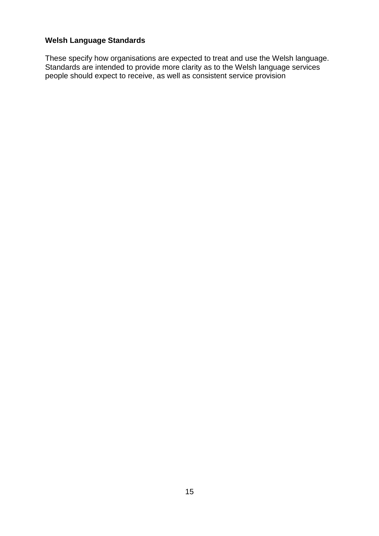# **Welsh Language Standards**

These specify how organisations are expected to treat and use the Welsh language. Standards are intended to provide more clarity as to the Welsh language services people should expect to receive, as well as consistent service provision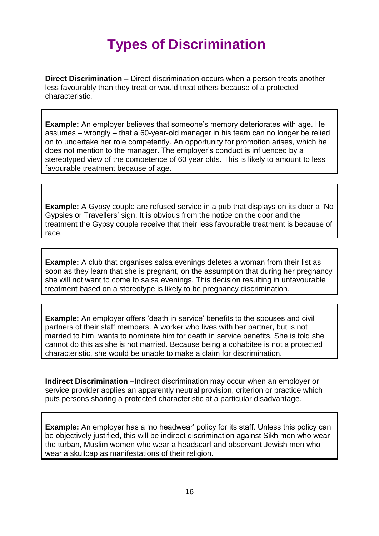# **Types of Discrimination**

 less favourably than they treat or would treat others because of a protected **Direct Discrimination –** Direct discrimination occurs when a person treats another characteristic.

 assumes – wrongly – that a 60-year-old manager in his team can no longer be relied **Example:** An employer believes that someone's memory deteriorates with age. He on to undertake her role competently. An opportunity for promotion arises, which he does not mention to the manager. The employer's conduct is influenced by a stereotyped view of the competence of 60 year olds. This is likely to amount to less favourable treatment because of age.

 Gypsies or Travellers' sign. It is obvious from the notice on the door and the treatment the Gypsy couple receive that their less favourable treatment is because of **Example:** A Gypsy couple are refused service in a pub that displays on its door a 'No race.

 **Example:** A club that organises salsa evenings deletes a woman from their list as soon as they learn that she is pregnant, on the assumption that during her pregnancy she will not want to come to salsa evenings. This decision resulting in unfavourable treatment based on a stereotype is likely to be pregnancy discrimination.

 married to him, wants to nominate him for death in service benefits. She is told she characteristic, she would be unable to make a claim for discrimination. **Example:** An employer offers 'death in service' benefits to the spouses and civil partners of their staff members. A worker who lives with her partner, but is not cannot do this as she is not married. Because being a cohabitee is not a protected

**Indirect Discrimination –**Indirect discrimination may occur when an employer or service provider applies an apparently neutral provision, criterion or practice which puts persons sharing a protected characteristic at a particular disadvantage.

**Example:** An employer has a 'no headwear' policy for its staff. Unless this policy can be objectively justified, this will be indirect discrimination against Sikh men who wear the turban, Muslim women who wear a headscarf and observant Jewish men who wear a skullcap as manifestations of their religion.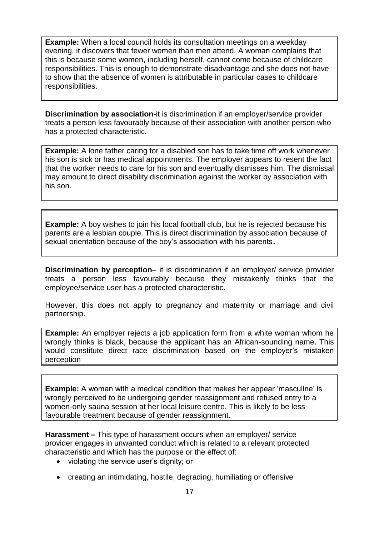**Example:** When a local council holds its consultation meetings on a weekday evening, it discovers that fewer women than men attend. A woman complains that this is because some women, including herself, cannot come because of childcare responsibilities. **Example:** When a local council holds its consultation meetings on a weekday<br>evening, it discovers that fewer women than men attend. A woman complains<br>this is because some women, including herself, cannot come because of c responsibilities. This is enough to demonstrate disadvantage and she does not have to show that the absence of women is attributable in particular cases to childcare

**Discrimination by association**-it is discrimination if an employer/service provider treats a person less favourably because of their association with another person who has a protected characteristic.

**Example:** A lone father caring for a disabled son has to take time off work whenever his son is sick or has medical appointments. The employer appears to resent the fact that the worker needs to care for his son and eventually dismisses him. The dismissal may amount to direct disability discrimination against the worker by association with his son.

 sexual orientation because of the boy's association with his parents. **Example:** A boy wishes to join his local football club, but he is rejected because his parents are a lesbian couple. This is direct discrimination by association because of

 **Discrimination by perception**– it is discrimination if an employer/ service provider treats a person less favourably because they mistakenly thinks that the employee/service user has a protected characteristic.

 However, this does not apply to pregnancy and maternity or marriage and civil partnership.

 **Example:** An employer rejects a job application form from a white woman whom he wrongly thinks is black, because the applicant has an African-sounding name. This would constitute direct race discrimination based on the employer's mistaken perception

**Example:** A woman with a medical condition that makes her appear 'masculine' is wrongly perceived to be undergoing gender reassignment and refused entry to a women-only sauna session at her local leisure centre. This is likely to be less favourable treatment because of gender reassignment.

 provider engages in unwanted conduct which is related to a relevant protected **Harassment –** This type of harassment occurs when an employer/ service characteristic and which has the purpose or the effect of:

- violating the service user's dignity; or
- creating an intimidating, hostile, degrading, humiliating or offensive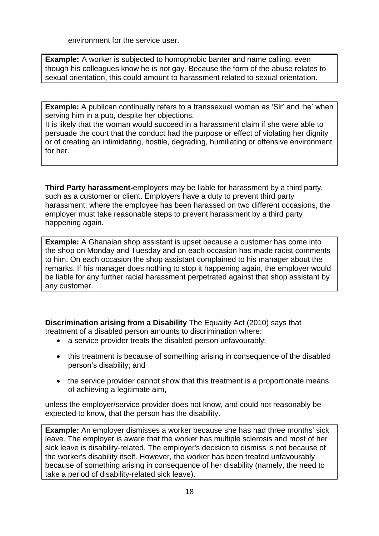environment for the service user.

 though his colleagues know he is not gay. Because the form of the abuse relates to **Example:** A worker is subjected to homophobic banter and name calling, even sexual orientation, this could amount to harassment related to sexual orientation.

**Example:** A publican continually refers to a transsexual woman as 'Sir' and 'he' when serving him in a pub, despite her objections.

It is likely that the woman would succeed in a harassment claim if she were able to persuade the court that the conduct had the purpose or effect of violating her dignity or of creating an intimidating, hostile, degrading, humiliating or offensive environment for her.

 such as a customer or client. Employers have a duty to prevent third party harassment; where the employee has been harassed on two different occasions, the **Third Party harassment-**employers may be liable for harassment by a third party, employer must take reasonable steps to prevent harassment by a third party happening again.

**Example:** A Ghanaian shop assistant is upset because a customer has come into the shop on Monday and Tuesday and on each occasion has made racist comments to him. On each occasion the shop assistant complained to his manager about the remarks. If his manager does nothing to stop it happening again, the employer would be liable for any further racial harassment perpetrated against that shop assistant by any customer.

**Discrimination arising from a Disability** The Equality Act (2010) says that treatment of a disabled person amounts to discrimination where:

- a service provider treats the disabled person unfavourably:
- this treatment is because of something arising in consequence of the disabled person's disability; and
- the service provider cannot show that this treatment is a proportionate means of achieving a legitimate aim,

unless the employer/service provider does not know, and could not reasonably be expected to know, that the person has the disability.

 **Example:** An employer dismisses a worker because she has had three months' sick sick leave is disability-related. The employer's decision to dismiss is not because of leave. The employer is aware that the worker has multiple sclerosis and most of her the worker's disability itself. However, the worker has been treated unfavourably because of something arising in consequence of her disability (namely, the need to take a period of disability-related sick leave).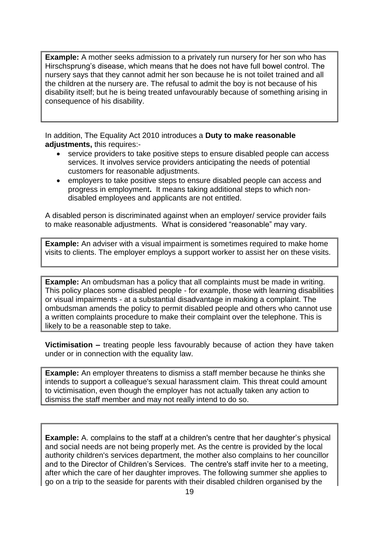**Example:** A mother seeks admission to a privately run nursery for her son who has nursery says that they cannot admit her son because he is not toilet trained and all the children at the nursery are. The refusal to admit the boy is not because of his Hirschsprung's disease, which means that he does not have full bowel control. The disability itself; but he is being treated unfavourably because of something arising in consequence of his disability.

 In addition, The Equality Act 2010 introduces a **Duty to make reasonable adjustments,** this requires:-

- service providers to take positive steps to ensure disabled people can access services. It involves service providers anticipating the needs of potential customers for reasonable adjustments.
- employers to take positive steps to ensure disabled people can access and progress in employment**.** It means taking additional steps to which nondisabled employees and applicants are not entitled.

 to make reasonable adjustments. What is considered "reasonable" may vary. A disabled person is discriminated against when an employer/ service provider fails

 **Example:** An adviser with a visual impairment is sometimes required to make home visits to clients. The employer employs a support worker to assist her on these visits.

 **Example:** An ombudsman has a policy that all complaints must be made in writing. This policy places some disabled people - for example, those with learning disabilities or visual impairments - at a substantial disadvantage in making a complaint. The ombudsman amends the policy to permit disabled people and others who cannot use a written complaints procedure to make their complaint over the telephone. This is likely to be a reasonable step to take.

 **Victimisation –** treating people less favourably because of action they have taken under or in connection with the equality law.

 **Example:** An employer threatens to dismiss a staff member because he thinks she intends to support a colleague's sexual harassment claim. This threat could amount to victimisation, even though the employer has not actually taken any action to dismiss the staff member and may not really intend to do so.

 and to the Director of Children's Services. The centre's staff invite her to a meeting, **Example:** A. complains to the staff at a children's centre that her daughter's physical and social needs are not being properly met. As the centre is provided by the local authority children's services department, the mother also complains to her councillor after which the care of her daughter improves. The following summer she applies to go on a trip to the seaside for parents with their disabled children organised by the